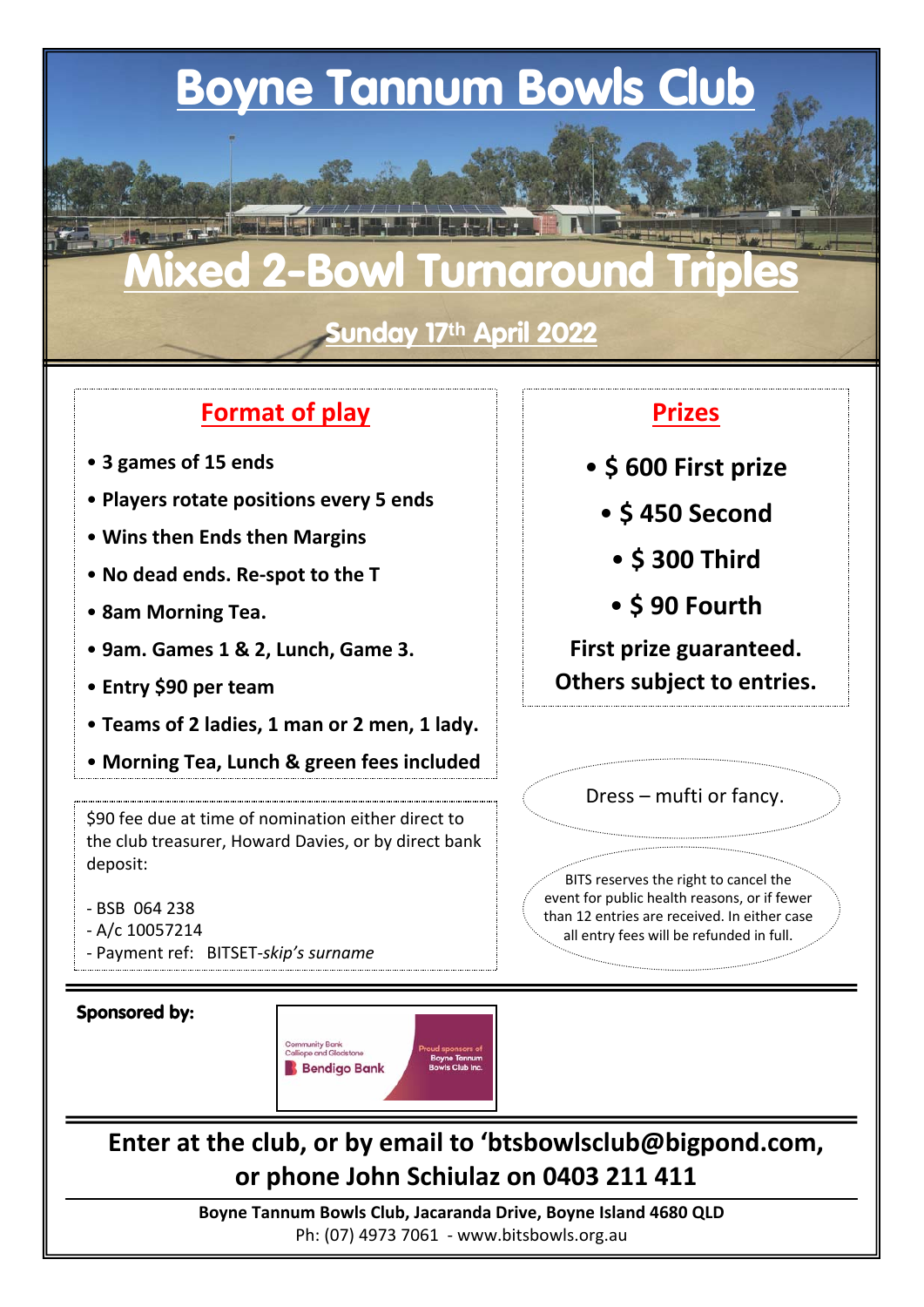## **Boyne Tannum Bowls Club**

# **Mixed 2-Bowl Turnaround Triples**

**Sunday 17th April 2022**

#### **Format of play**

- **3 games of 15 ends**
- **Players rotate positions every 5 ends**
- **Wins then Ends then Margins**
- **No dead ends. Re‐spot to the T**
- **8am Morning Tea.**
- **9am. Games 1 & 2, Lunch, Game 3.**
- **Entry \$90 per team**
- **Teams of 2 ladies, 1 man or 2 men, 1 lady.**
- **Morning Tea, Lunch & green fees included**

\$90 fee due at time of nomination either direct to the club treasurer, Howard Davies, or by direct bank deposit:

- ‐ BSB 064 238
- ‐ A/c 10057214
- ‐ Payment ref: BITSET‐*skip's surname*

#### **Sponsored by:**



## **Enter at the club, or by email to 'btsbowlsclub@bigpond.com, or phone John Schiulaz on 0403 211 411**

**Boyne Tannum Bowls Club, Jacaranda Drive, Boyne Island 4680 QLD** Ph: (07) 4973 7061 ‐ www.bitsbowls.org.au

#### **Prizes**

- **\$ 600 First prize**
	- **\$ 450 Second**
		- **\$ 300 Third**
		- **\$ 90 Fourth**

**First prize guaranteed. Others subject to entries.**

Dress – mufti or fancy.

BITS reserves the right to cancel the event for public health reasons, or if fewer than 12 entries are received. In either case all entry fees will be refunded in full.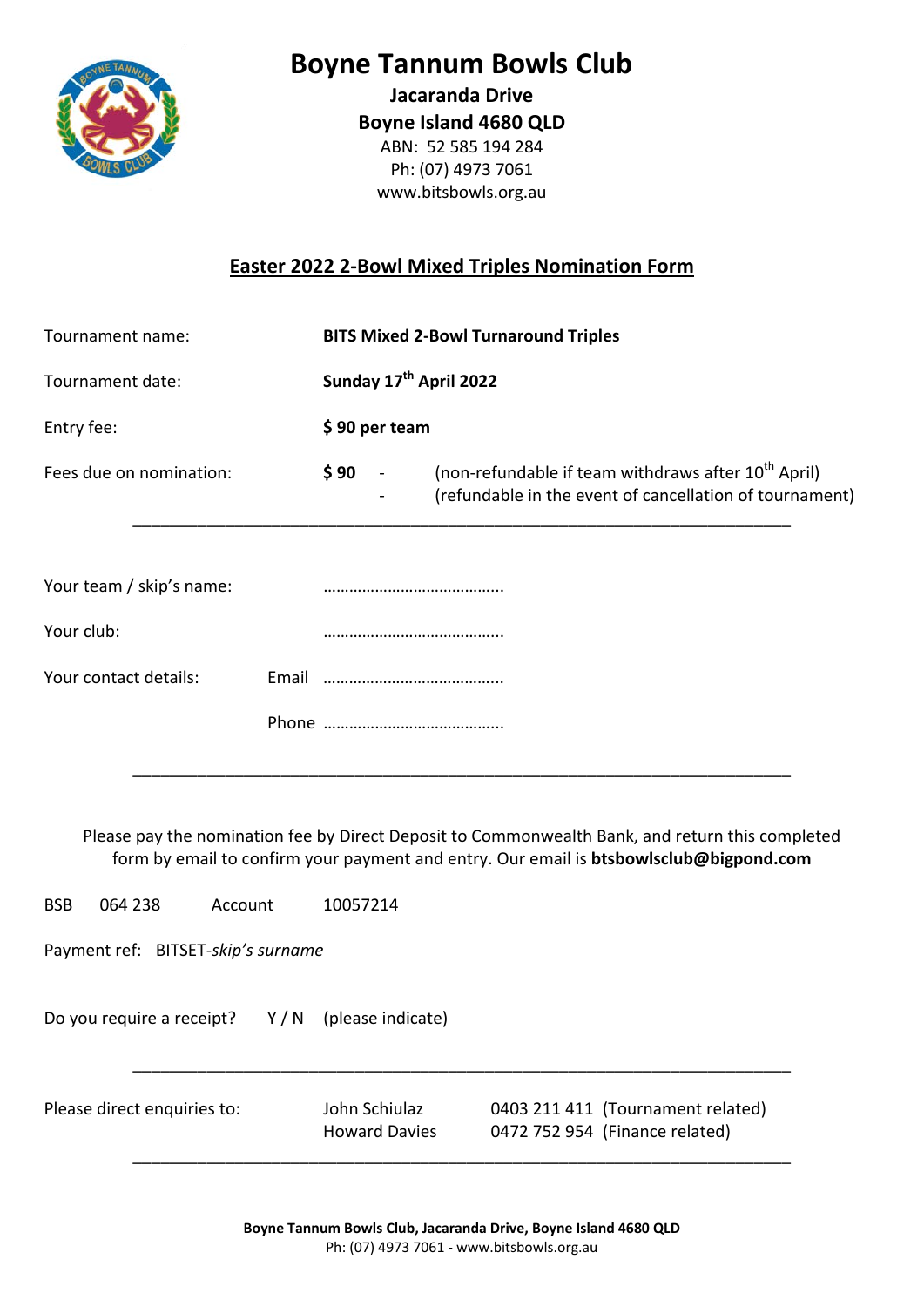

### **Boyne Tannum Bowls Club**

**Jacaranda Drive Boyne Island 4680 QLD** ABN: 52 585 194 284 Ph: (07) 4973 7061 www.bitsbowls.org.au

#### **Easter 2022 2‐Bowl Mixed Triples Nomination Form**

| Tournament name:         | <b>BITS Mixed 2-Bowl Turnaround Triples</b>                                                                                                      |
|--------------------------|--------------------------------------------------------------------------------------------------------------------------------------------------|
| Tournament date:         | Sunday 17 <sup>th</sup> April 2022                                                                                                               |
| Entry fee:               | \$90 per team                                                                                                                                    |
| Fees due on nomination:  | (non-refundable if team withdraws after 10 <sup>th</sup> April)<br>\$90<br>$\sim$ $-$<br>(refundable in the event of cancellation of tournament) |
| Your team / skip's name: |                                                                                                                                                  |
| Your club:               |                                                                                                                                                  |
| Your contact details:    |                                                                                                                                                  |
|                          |                                                                                                                                                  |

Please pay the nomination fee by Direct Deposit to Commonwealth Bank, and return this completed form by email to confirm your payment and entry. Our email is **btsbowlsclub@bigpond.com**

\_\_\_\_\_\_\_\_\_\_\_\_\_\_\_\_\_\_\_\_\_\_\_\_\_\_\_\_\_\_\_\_\_\_\_\_\_\_\_\_\_\_\_\_\_\_\_\_\_\_\_\_\_\_\_\_\_\_\_\_\_\_\_\_\_\_\_\_\_\_\_

BSB 064 238 Account 10057214

Payment ref: BITSET‐*skip's surname*

Do you require a receipt? Y / N (please indicate)

Please direct enquiries to: John Schiulaz 0403 211 411 (Tournament related) Howard Davies 0472 752 954 (Finance related)

\_\_\_\_\_\_\_\_\_\_\_\_\_\_\_\_\_\_\_\_\_\_\_\_\_\_\_\_\_\_\_\_\_\_\_\_\_\_\_\_\_\_\_\_\_\_\_\_\_\_\_\_\_\_\_\_\_\_\_\_\_\_\_\_\_\_\_\_\_\_\_

\_\_\_\_\_\_\_\_\_\_\_\_\_\_\_\_\_\_\_\_\_\_\_\_\_\_\_\_\_\_\_\_\_\_\_\_\_\_\_\_\_\_\_\_\_\_\_\_\_\_\_\_\_\_\_\_\_\_\_\_\_\_\_\_\_\_\_\_\_\_\_